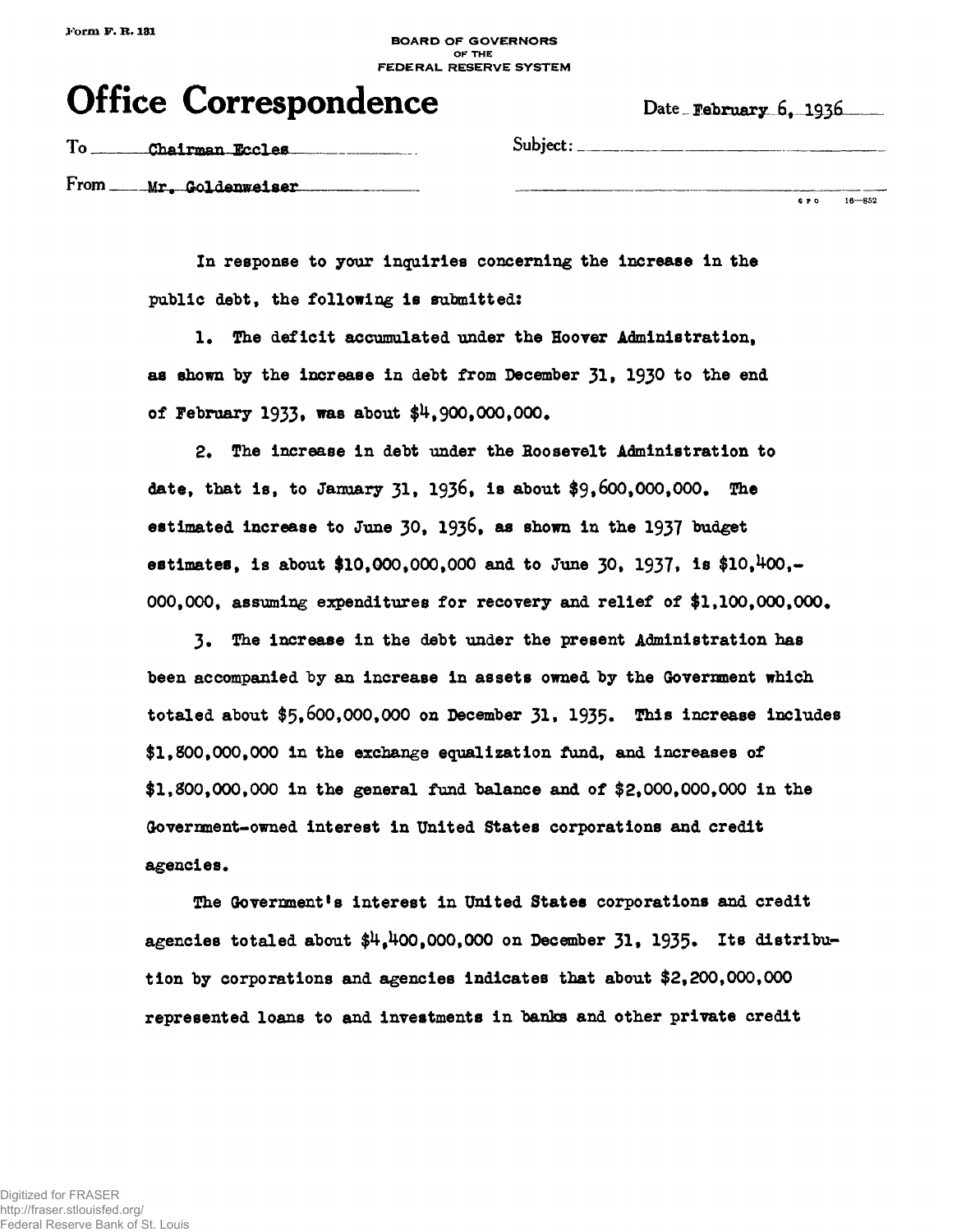## **BOARD OF GOVERNORS OF THE FEDERAL RESERVE SYSTEM**

|  | <b>Office Correspondence</b> | Date February 6. |
|--|------------------------------|------------------|
|--|------------------------------|------------------|

Date **February** 6, 1936

| To | Chairman Eccles            | Subject:            |
|----|----------------------------|---------------------|
|    | From ____ Mr. Goldenweiser | $16 - 852$<br>G P O |

**In response to your inquiries concerning the increase in the public debt, the following is submitted:**

**!• The deficit accumulated under the Hoover Administration, as shown by the increase in debt from December 31• 193® to the end** of February 1933, was about \$4,900,000,000.

**2\* The increase in debt under the Roosevelt Administration to date, that is, to January 31, 1936, is about \$9,6OO,OOO,OOO# The** estimated increase to June 30, 1936, as shown in the 1937 budget estimates, is about \$10,000,000,000 and to June 30, 1937, is \$10,<sup>4</sup>00,-**000,000, assuming expenditures for recovery and relief of \$1,100,000,000,**

**3\* The increase in the debt under the present Administration has been accompanied by an increase in assets owned by the Government which totaled about \$5,600,000,000 on December 31» 1935« T^ <sup>8</sup> increase includes \$1,800,000,000 in the exchange equalization fund, and increases of \$1,800,000,000 in the general fund balance and of \$2\*000,000,000 in the Government-owned interest in United States corporations and credit agencies•**

**The Government's interest in United States corporations and credit** agencies totaled about \$4,400,000,000 on December 31, 1935. Its distribu**tion by corporations and agencies indicates that about \$2,200,000,000 represented loans to and investments in banks and other private credit**